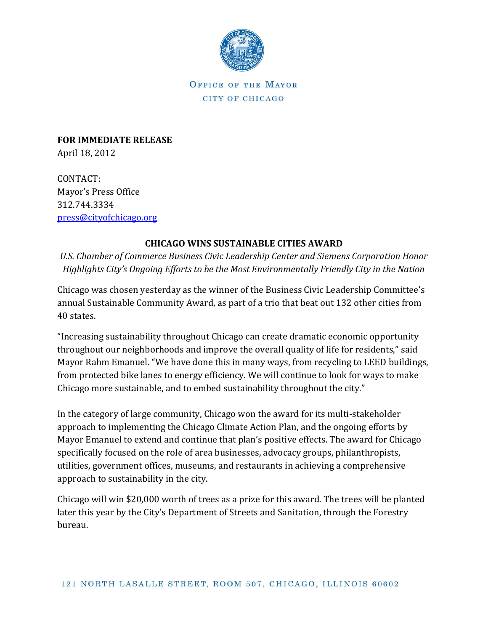

OFFICE OF THE MAYOR CITY OF CHICAGO

**FOR IMMEDIATE RELEASE** April 18, 2012

CONTACT: Mayor's Press Office 312.744.3334 [press@cityofchicago.org](mailto:press@cityofchicago.org)

## **CHICAGO WINS SUSTAINABLE CITIES AWARD**

*U.S. Chamber of Commerce Business Civic Leadership Center and Siemens Corporation Honor Highlights City's Ongoing Efforts to be the Most Environmentally Friendly City in the Nation*

Chicago was chosen yesterday as the winner of the Business Civic Leadership Committee's annual Sustainable Community Award, as part of a trio that beat out 132 other cities from 40 states.

"Increasing sustainability throughout Chicago can create dramatic economic opportunity throughout our neighborhoods and improve the overall quality of life for residents," said Mayor Rahm Emanuel. "We have done this in many ways, from recycling to LEED buildings, from protected bike lanes to energy efficiency. We will continue to look for ways to make Chicago more sustainable, and to embed sustainability throughout the city."

In the category of large community, Chicago won the award for its multi-stakeholder approach to implementing the Chicago Climate Action Plan, and the ongoing efforts by Mayor Emanuel to extend and continue that plan's positive effects. The award for Chicago specifically focused on the role of area businesses, advocacy groups, philanthropists, utilities, government offices, museums, and restaurants in achieving a comprehensive approach to sustainability in the city.

Chicago will win \$20,000 worth of trees as a prize for this award. The trees will be planted later this year by the City's Department of Streets and Sanitation, through the Forestry bureau.